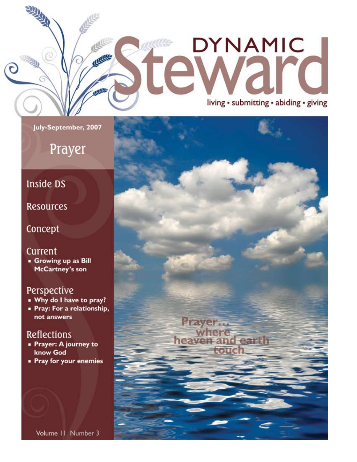# July-September, 2007

REFERE

ARRITE

**ARKKE** 

alle

Prayer

## Inside DS

沙

 $\widehat{\mathsf{c}}$ 

**Resources** 

Concept

### Current

**Growing up as Bill McCartney's son** 

### Perspective

- . Why do I have to pray?
- · Pray: For a relationship, not answers

### **Reflections**

- **Prayer: A journey to** know God
- **Pray for your enemies**





**DYNAMIC**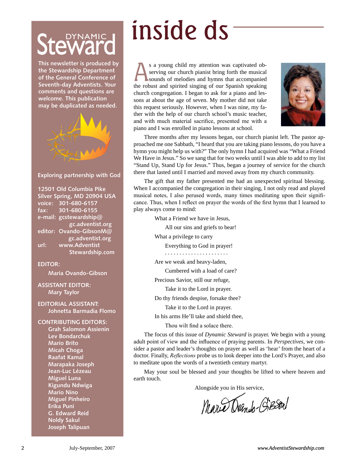**This newsletter is produced by the Stewardship Department of the General Conference of Seventh-day Adventists. Your comments and questions are welcome. This publication may be duplicated as needed.**



#### **Exploring partnership with God**

**12501 Old Columbia Pike Silver Spring, MD 20904 USA voice: 301-680-6157 fax: 301-680-6155 e-mail: gcstewardship@ gc.adventist.org editor: Ovando-GibsonM@ gc.adventist.org url: www.Adventist Stewardship.com**

#### **EDITOR:**

**Maria Ovando-Gibson**

**ASSISTANT EDITOR: Mary Taylor**

**EDITORIAL ASSISTANT: Johnetta Barmadia Flomo**

**CONTRIBUTING EDITORS: Grah Salomon Assienin Lev Bondarchuk Mario Brito Micah Choga Raafat Kamal Marapaka Joseph Jean-Luc Lézeau Miguel Luna Kigundu Ndwiga Mario Nino Miguel Pinheiro Erika Puni Erika Puni G. Edward Reid Noldy Sakul Joseph Talipuan**

# inside ds

s a young child my attention was captivated ob-<br>serving our church pianist bring forth the musical<br>sounds of melodies and hymns that accompanied<br>the relative and existed singing of our Spanish speaking serving our church pianist bring forth the musical the robust and spirited singing of our Spanish speaking church congregation. I began to ask for a piano and lessons at about the age of seven. My mother did not take this request seriously. However, when I was nine, my father with the help of our church school's music teacher, and with much material sacrifice, presented me with a piano and I was enrolled in piano lessons at school.



Three months after my lessons began, our church pianist left. The pastor approached me one Sabbath, "I heard that you are taking piano lessons, do you have a hymn you might help us with?" The only hymn I had acquired was "What a Friend We Have in Jesus." So we sang that for two weeks until I was able to add to my list "Stand Up, Stand Up for Jesus." Thus, began a journey of service for the church there that lasted until I married and moved away from my church community.

The gift that my father presented me had an unexpected spiritual blessing. When I accompanied the congregation in their singing, I not only read and played musical notes, I also perused words, many times meditating upon their significance. Thus, when I reflect on prayer the words of the first hymn that I learned to play always come to mind:

What a Friend we have in Jesus,

All our sins and griefs to bear!

What a privilege to carry

Everything to God in prayer!

. . . . . . . . . . . . . . . . . . . . . .

Are we weak and heavy-laden,

Cumbered with a load of care?

Precious Savior, still our refuge,

Take it to the Lord in prayer.

Do thy friends despise, forsake thee?

Take it to the Lord in prayer.

In his arms He'll take and shield thee,

Thou wilt find a solace there.

The focus of this issue of *Dynamic Steward* is prayer. We begin with a young adult point of view and the influence of praying parents. In *Perspectives*, we consider a pastor and leader's thoughts on prayer as well as 'hear' from the heart of a doctor. Finally, *Reflections* probe us to look deeper into the Lord's Prayer, and also to meditate upon the words of a twentieth century martyr.

May your soul be blessed and your thoughts be lifted to where heaven and earth touch.

Alongside you in His service,

Mario Drando-GiBEn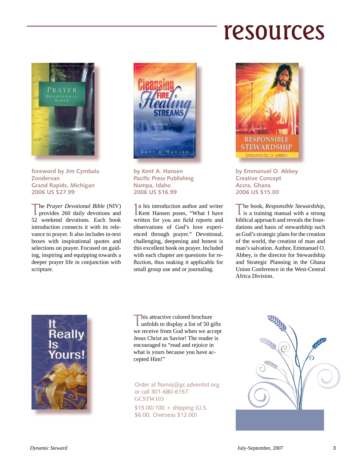# resources



**foreword by Jim Cymbala Zondervan Grand Rapids, Michigan 2006 US \$27.99**

The *Prayer Devotional Bible* (NIV) provides 260 daily devotions and 52 weekend devotions. Each book introduction connects it with its relevance to prayer. It also includes in-text boxes with inspirational quotes and selections on prayer. Focused on guiding, inspiring and equipping towards a deeper prayer life in conjunction with scripture.



**by Kent A. Hansen Pacific Press Publishing Nampa, Idaho 2006 US \$16.99**

In his introduction author and writer<br>
Kent Hansen poses, "What I have In his introduction author and writer written for you are field reports and observations of God's love experienced through prayer." Devotional, challenging, deepening and honest is this excellent book on prayer. Included with each chapter are questions for reflection, thus making it applicable for small group use and or journaling.



**by Emmanuel O. Abbey Creative Concept Accra, Ghana 2006 US \$15.00**

The book, *Responsible Stewardship*, is a training manual with a strong biblical approach and reveals the foundations and basis of stewardship such as God's strategic plans for the creation of the world, the creation of man and man's salvation. Author, Emmanuel O. Abbey, is the director for Stewardship and Strategic Planning in the Ghana Union Conference in the West-Central Africa Division.



This attractive colored brochure<br>unfolds to display a list of 50 gifts we receive from God when we accept Jesus Christ as Savior! The reader is encouraged to "read and rejoice in what is yours because you have accepted Him!"

Order at flomoj@gc.adventist.org or call 301-680-6157. GCSTW103

 $$15.00/100 + shipping$  (U.S. \$6.00; Overseas \$12.00)

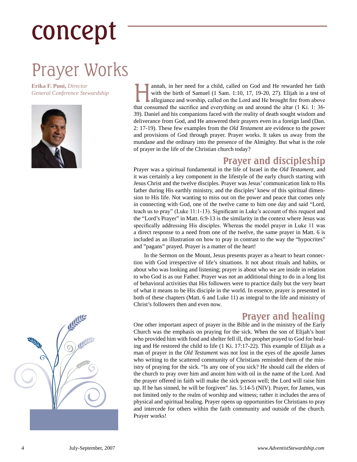# concept

# Prayer Works

**Erika F. Puni,** *Director General Conference Stewardship*



**SALLES** G

annah, in her need for a child, called on God and He rewarded her faith with the birth of Samuel (1 Sam. 1:10, 17, 19-20, 27). Elijah in a test of allegiance and worship, called on the Lord and He brought fire from above with the birth of Samuel (1 Sam. 1:10, 17, 19-20, 27). Elijah in a test of allegiance and worship, called on the Lord and He brought fire from above that consumed the sacrifice and everything on and around the altar (1 Ki. 1: 36- 39). Daniel and his companions faced with the reality of death sought wisdom and deliverance from God, and He answered their prayers even in a foreign land (Dan. 2: 17-19). These few examples from the *Old Testament* are evidence to the power and provisions of God through prayer. Prayer works. It takes us away from the mundane and the ordinary into the presence of the Almighty. But what is the role of prayer in the life of the Christian church today?

## **Prayer and discipleship**

Prayer was a spiritual fundamental in the life of Israel in the *Old Testament*, and it was certainly a key component in the lifestyle of the early church starting with Jesus Christ and the twelve disciples. Prayer was Jesus' communication link to His father during His earthly ministry, and the disciples' knew of this spiritual dimension to His life. Not wanting to miss out on the power and peace that comes only in connecting with God, one of the twelve came to him one day and said "Lord, teach us to pray" (Luke 11:1-13). Significant in Luke's account of this request and the "Lord's Prayer" in Matt. 6:9-13 is the similarity in the context where Jesus was specifically addressing His disciples. Whereas the model prayer in Luke 11 was a direct response to a need from one of the twelve, the same prayer in Matt. 6 is included as an illustration on how to pray in contrast to the way the "hypocrites" and "pagans" prayed. Prayer is a matter of the heart!

In the Sermon on the Mount, Jesus presents prayer as a heart to heart connection with God irrespective of life's situations. It not about rituals and habits, or about who was looking and listening; prayer is about who we are inside in relation to who God is as our Father. Prayer was not an additional thing to do in a long list of behavioral activities that His followers were to practice daily but the very heart of what it means to be His disciple in the world. In essence, prayer is presented in both of these chapters (Matt. 6 and Luke 11) as integral to the life and ministry of Christ's followers then and even now.

## **Prayer and healing**

One other important aspect of prayer in the Bible and in the ministry of the Early Church was the emphasis on praying for the sick. When the son of Elijah's host who provided him with food and shelter fell ill, the prophet prayed to God for healing and He restored the child to life (1 Ki. 17:17-22). This example of Elijah as a man of prayer in the *Old Testamen*t was not lost in the eyes of the apostle James who writing to the scattered community of Christians reminded them of the ministry of praying for the sick. "Is any one of you sick? He should call the elders of the church to pray over him and anoint him with oil in the name of the Lord. And the prayer offered in faith will make the sick person well; the Lord will raise him up. If he has sinned, he will be forgiven" Jas. 5:14-5 (NIV). Prayer, for James, was not limited only to the realm of worship and witness; rather it includes the area of physical and spiritual healing. Prayer opens up opportunities for Christians to pray and intercede for others within the faith community and outside of the church. Prayer works!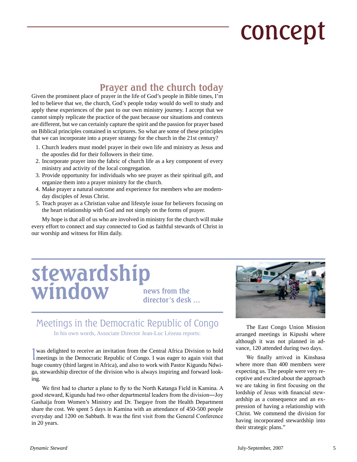# concept

## **Prayer and the church today**

Given the prominent place of prayer in the life of God's people in Bible times, I'm led to believe that we, the church, God's people today would do well to study and apply these experiences of the past to our own ministry journey. I accept that we cannot simply replicate the practice of the past because our situations and contexts are different, but we can certainly capture the spirit and the passion for prayer based on Biblical principles contained in scriptures. So what are some of these principles that we can incorporate into a prayer strategy for the church in the 21st century?

- Church leaders must model prayer in their own life and ministry as Jesus and 1. the apostles did for their followers in their time.
- 2. Incorporate prayer into the fabric of church life as a key component of every ministry and activity of the local congregation.
- 3. Provide opportunity for individuals who see prayer as their spiritual gift, and organize them into a prayer ministry for the church.
- Make prayer a natural outcome and experience for members who are modern-. day disciples of Jesus Christ.
- 5. Teach prayer as a Christian value and lifestyle issue for believers focusing on the heart relationship with God and not simply on the forms of prayer.

My hope is that all of us who are involved in ministry for the church will make every effort to connect and stay connected to God as faithful stewards of Christ in our worship and witness for Him daily.

# **stewardship window news from the**

**director's desk …**

## Meetings in the Democratic Republic of Congo

In his own words, Associate Director Jean-Luc Lézeau reports:

I was delighted to receive an invitation from the Central Africa Division to hold meetings in the Democratic Republic of Congo. I was eager to again visit that was delighted to receive an invitation from the Central Africa Division to hold huge country (third largest in Africa), and also to work with Pastor Kigundu Ndwiga, stewardship director of the division who is always inspiring and forward looking.

We first had to charter a plane to fly to the North Katanga Field in Kamina. A good steward, Kigundu had two other departmental leaders from the division―Joy Gashaija from Women's Ministry and Dr. Tsegaye from the Health Department share the cost. We spent 5 days in Kamina with an attendance of 450-500 people everyday and 1200 on Sabbath. It was the first visit from the General Conference in 20 years.



The East Congo Union Mission arranged meetings in Kipushi where although it was not planned in advance, 120 attended during two days.

We finally arrived in Kinshasa where more than 400 members were expecting us. The people were very receptive and excited about the approach we are taking in first focusing on the lordship of Jesus with financial stewardship as a consequence and an expression of having a relationship with Christ. We commend the division for having incorporated stewardship into their strategic plans."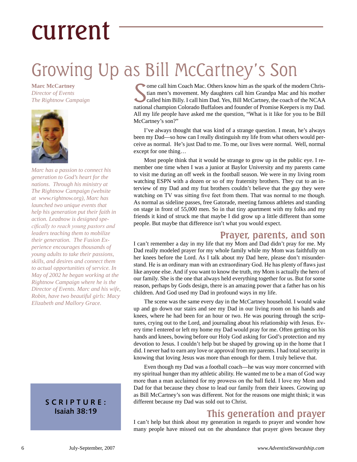# current

# Growing Up as Bill McCartney's Son

**Marc McCartney** *Director of Events The Rightnow Campaign*



*Marc has a passion to connect his generation to God's heart for the nations. Through his ministry at The Rightnow Campaign (website at www.rightnow.org), Marc has launched two unique events that help his generation put their faith in action. Leadnow is designed specifically to reach young pastors and leaders teaching them to mobilize their generation. The Fusion Experience encourages thousands of young adults to take their passions, skills, and desires and connect them to actual opportunities of service. In May of 2002 he began working at the Rightnow Campaign where he is the Director of Events. Marc and his wife, Robin, have two beautiful girls: Macy Elizabeth and Mallory Grace.*

#### **S C R I P T U R E : Isaiah 38:19**

Some call him Coach Mac. Others know him as the spark of the modern Christian men's movement. My daughters call him Grandpa Mac and his mother called him Billy. I call him Dad. Yes, Bill McCartney, the coach of the NCAA na ome call him Coach Mac. Others know him as the spark of the modern Christian men's movement. My daughters call him Grandpa Mac and his mother called him Billy. I call him Dad. Yes, Bill McCartney, the coach of the NCAA All my life people have asked me the question, "What is it like for you to be Bill McCartney's son?"

I've always thought that was kind of a strange question. I mean, he's always been my Dad—so how can I really distinguish my life from what others would perceive as normal. He's just Dad to me. To me, our lives were normal. Well, normal except for one thing…

Most people think that it would be strange to grow up in the public eye. I remember one time when I was a junior at Baylor University and my parents came to visit me during an off week in the football season. We were in my living room watching ESPN with a dozen or so of my fraternity brothers. They cut to an interview of my Dad and my frat brothers couldn't believe that the guy they were watching on TV was sitting five feet from them. That was normal to me though. As normal as sideline passes, free Gatorade, meeting famous athletes and standing on stage in front of 55,000 men. So in that tiny apartment with my folks and my friends it kind of struck me that maybe I did grow up a little different than some people. But maybe that difference isn't what you would expect.

### **Prayer, parents, and son**

I can't remember a day in my life that my Mom and Dad didn't pray for me. My Dad really modeled prayer for my whole family while my Mom was faithfully on her knees before the Lord. As I talk about my Dad here, please don't misunderstand. He is an ordinary man with an extraordinary God. He has plenty of flaws just like anyone else. And if you want to know the truth, my Mom is actually the hero of our family. She is the one that always held everything together for us. But for some reason, perhaps by Gods design, there is an amazing power that a father has on his children. And God used my Dad in profound ways in my life.

The scene was the same every day in the McCartney household. I would wake up and go down our stairs and see my Dad in our living room on his hands and knees, where he had been for an hour or two. He was pouring through the scriptures, crying out to the Lord, and journaling about his relationship with Jesus. Every time I entered or left my home my Dad would pray for me. Often getting on his hands and knees, bowing before our Holy God asking for God's protection and my devotion to Jesus. I couldn't help but be shaped by growing up in the home that I did. I never had to earn any love or approval from my parents. I had total security in knowing that loving Jesus was more than enough for them. I truly believe that.

Even though my Dad was a football coach—he was way more concerned with my spiritual hunger than my athletic ability. He wanted me to be a man of God way more than a man acclaimed for my prowess on the ball field. I love my Mom and Dad for that because they chose to lead our family from their knees. Growing up as Bill McCartney's son was different. Not for the reasons one might think; it was different because my Dad was sold out to Christ.

## **This generation and prayer**

I can't help but think about my generation in regards to prayer and wonder how many people have missed out on the abundance that prayer gives because they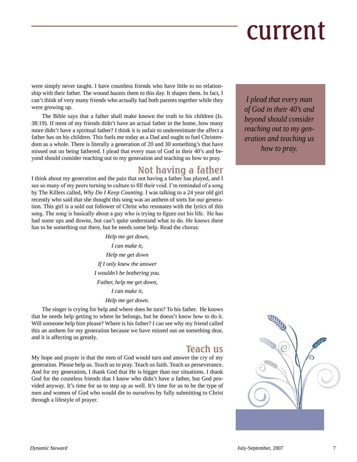# current

were simply never taught. I have countless friends who have little to no relationship with their father. The wound haunts them to this day. It shapes them. In fact, I can't think of very many friends who actually had both parents together while they were growing up.

The Bible says that a father shall make known the truth to his children (Is. 38:19). If most of my friends didn't have an actual father in the home, how many more didn't have a spiritual father? I think it is unfair to underestimate the affect a father has on his children. This fuels me today as a Dad and ought to fuel Christendom as a whole. There is literally a generation of 20 and 30 something's that have missed out on being fathered. I plead that every man of God in their 40's and beyond should consider reaching out to my generation and teaching us how to pray.

## **Not having a father**

I think about my generation and the pain that not having a father has played, and I see so many of my peers turning to culture to fill their void. I'm reminded of a song by The Killers called, *Why Do I Keep Counting.* I was talking to a 24 year old girl recently who said that she thought this song was an anthem of sorts for our generation. This girl is a sold out follower of Christ who resonates with the lyrics of this song. The song is basically about a guy who is trying to figure out his life. He has had some ups and downs, but can't quite understand what to do. He knows there has to be something out there, but he needs some help. Read the chorus:

*Help me get down, I can make it, Help me get down If I only knew the answer I wouldn't be bothering you. Father, help me get down, I can make it,*

*Help me get down.*

The singer is crying for help and where does he turn? To his father. He knows that he needs help getting to where he belongs, but he doesn't know how to do it. Will someone help him please? Where is his father? I can see why my friend called this an anthem for my generation because we have missed out on something dear, and it is affecting us greatly.

## **Teach us**

My hope and prayer is that the men of God would turn and answer the cry of my generation. Please help us. Teach us to pray. Teach us faith. Teach us perseverance. And for my generation, I thank God that He is bigger than our situations. I thank God for the countless friends that I know who didn't have a father, but God provided anyway. It's time for us to step up as well. It's time for us to be the type of men and women of God who would die to ourselves by fully submitting to Christ through a lifestyle of prayer.

*I plead that every man of God in their 40's and beyond should consider reaching out to my generation and teaching us how to pray.*

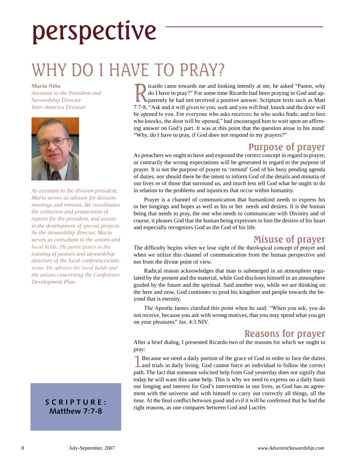# WHY DO I HAVE TO PRAY?

#### **Mario Niño**

*Assistant to the President and Stewardship Director Inter-America Division*



*As assistant to the division president, Mario serves as advisor for division meetings and retreats. He coordinates the collection and preparation of reports for the president, and assists in the development of special projects. As the stewardship director, Mario serves as consultant to the unions and local fields. He participates in the training of pastors and stewardship directors of the local conferences/missions. He advises the local fields and the unions concerning the Conference Development Plan.* 

#### **S C R I P T U R E : Matthew 7:7-8**

cardo came towards me and looking intently at me, he asked "Pastor, why do I have to pray?" For some time Ricardo had been praying to God and apparently he had not received a positive answer. Scripture texts such as Matt do I have to pray?" For some time Ricardo had been praying to God and apparently he had not received a positive answer. Scripture texts such as Matt 7:7-8, "Ask and it will given to you; seek and you will find; knock and the door will be opened to you. For everyone who asks receives; he who seeks finds; and to him who knocks, the door will be opened," had encouraged him to wait upon an affirming answer on God's part. It was at this point that the question arose in his mind: "Why, do I have to pray, if God does not respond to my prayers?"

### **Purpose of prayer**

As preachers we ought to have and expound the correct concept in regard to prayer, or contrarily the wrong expectations will be generated in regard to the purpose of prayer. It is not the purpose of prayer to 'remind' God of his busy pending agenda of duties, nor should there be the intent to inform God of the details and minutia of our lives or of those that surround us, and much less tell God what he ought to do in relation to the problems and injustices that occur within humanity.

Prayer is a channel of communication that humankind needs to express his or her longings and hopes as well as his or her needs and desires. It is the human being that needs to pray, the one who needs to communicate with Divinity and of course, it pleases God that the human being expresses to him the desires of his heart and especially recognizes God as the God of his life.

## **Misuse of prayer**

The difficulty begins when we lose sight of the theological concept of prayer and when we utilize this channel of communication from the human perspective and not from the divine point of view.

Radical reason acknowledges that man is submerged in an atmosphere regulated by the present and the material, while God discloses himself in an atmosphere guided by the future and the spiritual. Said another way, while we are thinking on the here and now, God continues to prod his kingdom and people towards the beyond that is eternity.

The Apostle James clarified this point when he said: "When you ask, you do not receive, because you ask with wrong motives, that you may spend what you get on your pleasures" Jas. 4:3 NIV.

## **Reasons for prayer**

After a brief dialog, I presented Ricardo two of the reasons for which we ought to pray:

1Because we need a daily portion of the grace of God in order to face the duties and trials in daily living. God cannot force an individual to follow the correct path. The fact that someone solicited help from God yesterday does not signify that today he will want this same help. This is why we need to express on a daily basis our longing and interest for God's intervention in our lives, as God has an agreement with the universe and with himself to carry out correctly all things, all the time. At the final conflict between good and evil it will be confirmed that he had the right reasons, as one compares between God and Lucifer.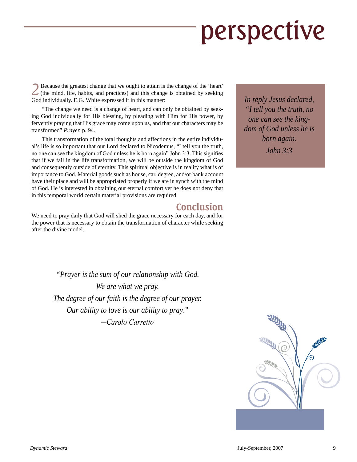2 Because the greatest change that we ought to attain is the change of the 'heart' (the mind, life, habits, and practices) and this change is obtained by seeking Because the greatest change that we ought to attain is the change of the 'heart' God individually. E.G. White expressed it in this manner:

"The change we need is a change of heart, and can only be obtained by seeking God individually for His blessing, by pleading with Him for His power, by fervently praying that His grace may come upon us, and that our characters may be transformed" *Prayer,* p. 94.

This transformation of the total thoughts and affections in the entire individual's life is so important that our Lord declared to Nicodemus, "I tell you the truth, no one can see the kingdom of God unless he is born again" John 3:3. This signifies that if we fail in the life transformation, we will be outside the kingdom of God and consequently outside of eternity. This spiritual objective is in reality what is of importance to God. Material goods such as house, car, degree, and/or bank account have their place and will be appropriated properly if we are in synch with the mind of God. He is interested in obtaining our eternal comfort yet he does not deny that in this temporal world certain material provisions are required.

### **Conclusion**

We need to pray daily that God will shed the grace necessary for each day, and for the power that is necessary to obtain the transformation of character while seeking after the divine model.

*In reply Jesus declared, "I tell you the truth, no one can see the kingdom of God unless he is born again. John 3:3*

*"Prayer is the sum of our relationship with God. We are what we pray. The degree of our faith is the degree of our prayer. Our ability to love is our ability to pray." ─Carolo Carretto*

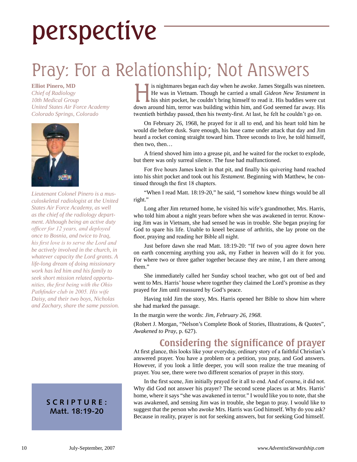# Pray: For a Relationship; Not Answers

**Elliot Pinero, MD** *Chief of Radiology 10th Medical Group United States Air Force Academy Colorado Springs, Colorado*



*Lieutenant Colonel Pinero is a musculoskeletal radiologist at the United States Air Force Academy, as well as the chief of the radiology department. Although being an active duty officer for 12 years, and deployed once to Bosnia, and twice to Iraq, his first love is to serve the Lord and be actively involved in the church, in whatever capacity the Lord grants. A life-long dream of doing missionary work has led him and his family to seek short mission related opportunities, the first being with the Ohio Pathfinder club in 2005. His wife Daisy, and their two boys, Nicholas and Zachary, share the same passion.*

#### **S C R I P T U R E : Matt. 18:19-20**

He was in Vietnam. Though he carried a small *Gideon New Testament* in<br>his shirt pocket, he couldn't bring himself to read it. His buddies were cut<br>down around him terms was building within him, and *God* seemed for sway. He was in Vietnam. Though he carried a small *Gideon New Testament* in down around him, terror was building within him, and God seemed far away. His twentieth birthday passed, then his twenty-first. At last, he felt he couldn't go on.

On February 26, 1968, he prayed for it all to end, and his heart told him he would die before dusk. Sure enough, his base came under attack that day and Jim heard a rocket coming straight toward him. Three seconds to live, he told himself, then two, then…

A friend shoved him into a grease pit, and he waited for the rocket to explode, but there was only surreal silence. The fuse had malfunctioned.

For five hours James knelt in that pit, and finally his quivering hand reached into his shirt pocket and took out his *Testament*. Beginning with Matthew, he continued through the first 18 chapters.

"When I read Matt. 18:19-20," he said, "I somehow knew things would be all right."

Long after Jim returned home, he visited his wife's grandmother, Mrs. Harris, who told him about a night years before when she was awakened in terror. Knowing Jim was in Vietnam, she had sensed he was in trouble. She began praying for God to spare his life. Unable to kneel because of arthritis, she lay prone on the floor, praying and reading her Bible all night.

Just before dawn she read Matt. 18:19-20: "If two of you agree down here on earth concerning anything you ask, my Father in heaven will do it for you. For where two or three gather together because they are mine, I am there among them."

She immediately called her Sunday school teacher, who got out of bed and went to Mrs. Harris' house where together they claimed the Lord's promise as they prayed for Jim until reassured by God's peace.

Having told Jim the story, Mrs. Harris opened her Bible to show him where she had marked the passage.

In the margin were the words: *Jim, February 26, 1968*.

(Robert J. Morgan, "Nelson's Complete Book of Stories, Illustrations, & Quotes", *Awakened to Pray*, p. 627).

### **Considering the significance of prayer**

At first glance, this looks like your everyday, ordinary story of a faithful Christian's answered prayer. You have a problem or a petition, you pray, and God answers. However, if you look a little deeper, you will soon realize the true meaning of prayer. You see, there were two different scenarios of prayer in this story.

In the first scene, Jim initially prayed for it all to end. And of course, it did not. Why did God not answer his prayer? The second scene places us at Mrs. Harris' home, where it says "she was awakened in terror." I would like you to note, that she was awakened, and sensing Jim was in trouble, she began to pray. I would like to suggest that the person who awoke Mrs. Harris was God himself. Why do you ask? Because in reality, prayer is not for seeking answers, but for seeking God himself.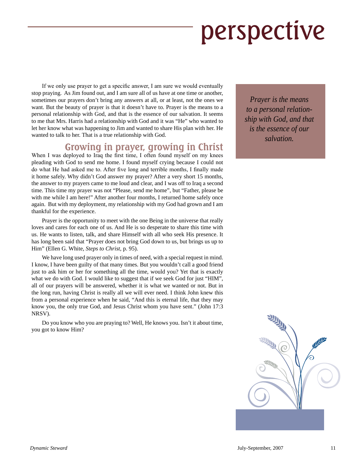If we only use prayer to get a specific answer, I am sure we would eventually stop praying. As Jim found out, and I am sure all of us have at one time or another, sometimes our prayers don't bring any answers at all, or at least, not the ones we want. But the beauty of prayer is that it doesn't have to. Prayer is the means to a personal relationship with God, and that is the essence of our salvation. It seems to me that Mrs. Harris had a relationship with God and it was "He" who wanted to let her know what was happening to Jim and wanted to share His plan with her. He wanted to talk to her. That is a true relationship with God.

### **Growing in prayer, growing in Christ**

When I was deployed to Iraq the first time, I often found myself on my knees pleading with God to send me home. I found myself crying because I could not do what He had asked me to. After five long and terrible months, I finally made it home safely. Why didn't God answer my prayer? After a very short 15 months, the answer to my prayers came to me loud and clear, and I was off to Iraq a second time. This time my prayer was not "Please, send me home", but "Father, please be with me while I am here!" After another four months, I returned home safely once again. But with my deployment, my relationship with my God had grown and I am thankful for the experience.

Prayer is the opportunity to meet with the one Being in the universe that really loves and cares for each one of us. And He is so desperate to share this time with us. He wants to listen, talk, and share Himself with all who seek His presence. It has long been said that "Prayer does not bring God down to us, but brings us up to Him" (Ellen G. White, *Steps to Christ,* p. 95).

We have long used prayer only in times of need, with a special request in mind. I know, I have been guilty of that many times. But you wouldn't call a good friend just to ask him or her for something all the time, would you? Yet that is exactly what we do with God. I would like to suggest that if we seek God for just "HIM", all of our prayers will be answered, whether it is what we wanted or not. But in the long run, having Christ is really all we will ever need. I think John knew this from a personal experience when he said, "And this is eternal life, that they may know you, the only true God, and Jesus Christ whom you have sent." (John 17:3 NRSV).

Do you know who you are praying to? Well, He knows you. Isn't it about time, you got to know Him?

*Prayer is the means to a personal relationship with God, and that is the essence of our salvation.* 

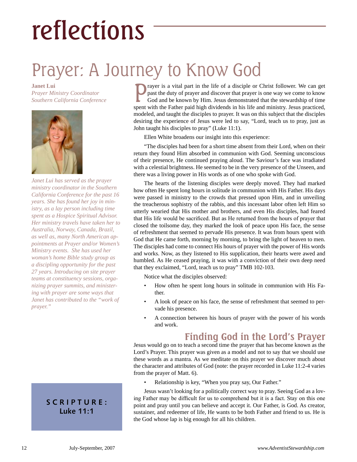# Prayer: A Journey to Know God

#### **Janet Lui**

*Prayer Ministry Coordinator Southern California Conference*



*Janet Lui has served as the prayer ministry coordinator in the Southern California Conference for the past 16 years. She has found her joy in ministry, as a lay person including time spent as a Hospice Spiritual Advisor. Her ministry travels have taken her to Australia, Norway, Canada, Brazil, as well as, many North American appointments at Prayer and/or Women's Ministry events. She has used her woman's home Bible study group as a discipling opportunity for the past 27 years. Introducing on site prayer teams at constituency sessions, organizing prayer summits, and ministering with prayer are some ways that Janet has contributed to the "work of prayer."*

### **S C R I P T U R E : Luke 11:1**

**P** rayer is a vital part in the life of a disciple or Christ follower. We can get past the duty of prayer and discover that prayer is one way we come to know God and be known by Him. Jesus demonstrated that the stewardshi rayer is a vital part in the life of a disciple or Christ follower. We can get past the duty of prayer and discover that prayer is one way we come to know God and be known by Him. Jesus demonstrated that the stewardship of time modeled, and taught the disciples to prayer. It was on this subject that the disciples desiring the experience of Jesus were led to say, "Lord, teach us to pray, just as John taught his disciples to pray" (Luke 11:1).

Ellen White broadens our insight into this experience:

"The disciples had been for a short time absent from their Lord, when on their return they found Him absorbed in communion with God. Seeming unconscious of their presence, He continued praying aloud. The Saviour's face was irradiated with a celestial brightness. He seemed to be in the very presence of the Unseen, and there was a living power in His words as of one who spoke with God.

The hearts of the listening disciples were deeply moved. They had marked how often He spent long hours in solitude in communion with His Father. His days were passed in ministry to the crowds that pressed upon Him, and in unveiling the treacherous sophistry of the rabbis, and this incessant labor often left Him so utterly wearied that His mother and brothers, and even His disciples, had feared that His life would be sacrificed. But as He returned from the hours of prayer that closed the toilsome day, they marked the look of peace upon His face, the sense of refreshment that seemed to pervade His presence. It was from hours spent with God that He came forth, morning by morning, to bring the light of heaven to men. The disciples had come to connect His hours of prayer with the power of His words and works. Now, as they listened to His supplication, their hearts were awed and humbled. As He ceased praying, it was with a conviction of their own deep need that they exclaimed, "Lord, teach us to pray" TMB 102-103.

Notice what the disciples observed:

- How often he spent long hours in solitude in communion with His Father. •
- A look of peace on his face, the sense of refreshment that seemed to pervade his presence. •
- A connection between his hours of prayer with the power of his words and work. •

## **Finding God in the Lord's Prayer**

Jesus would go on to teach a second time the prayer that has become known as the Lord's Prayer. This prayer was given as a model and not to say that we should use these words as a mantra. As we meditate on this prayer we discover much about the character and attributes of God (note: the prayer recorded in Luke 11:2-4 varies from the prayer of Matt. 6).

Relationship is key, "When you pray say, Our Father." •

Jesus wasn't looking for a politically correct way to pray. Seeing God as a loving Father may be difficult for us to comprehend but it is a fact. Stay on this one point and pray until you can believe and accept it. Our Father, is God. As creator, sustainer, and redeemer of life, He wants to be both Father and friend to us. He is the God whose lap is big enough for all his children.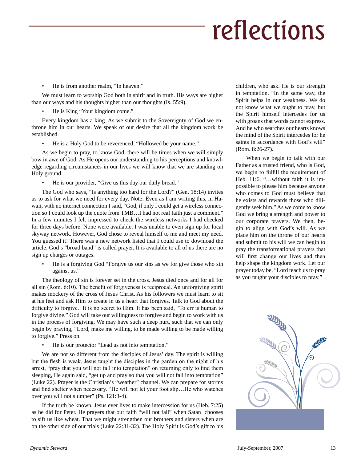He is from another realm, "In heaven." •

We must learn to worship God both in spirit and in truth. His ways are higher than our ways and his thoughts higher than our thoughts (Is. 55:9).

He is King "Your kingdom come." •

Every kingdom has a king. As we submit to the Sovereignty of God we enthrone him in our hearts. We speak of our desire that all the kingdom work be established.

He is a Holy God to be reverenced, "Hollowed be your name." •

As we begin to pray, to know God, there will be times when we will simply bow in awe of God. As He opens our understanding to his perceptions and knowledge regarding circumstances in our lives we will know that we are standing on Holy ground.

He is our provider, "Give us this day our daily bread." •

The God who says, "Is anything too hard for the Lord?" (Gen. 18:14) invites us to ask for what we need for every day. Note: Even as I am writing this, in Hawaii, with no internet connection I said, "God, if only I could get a wireless connection so I could look up the quote from TMB…I had not real faith just a comment." In a few minutes I felt impressed to check the wireless networks I had checked for three days before. None were available. I was unable to even sign up for local skyway network. However, God chose to reveal himself to me and meet my need. You guessed it! There was a new network listed that I could use to download the article. God's "broad band" is called prayer. It is available to all of us there are no sign up charges or outages.

He is a forgiving God "Forgive us our sins as we for give those who sin against us." •

The theology of sin is forever set in the cross. Jesus died once and for all for all sin (Rom. 6:10). The benefit of forgiveness is reciprocal. An unforgiving spirit makes mockery of the cross of Jesus Christ. As his followers we must learn to sit at his feet and ask Him to create in us a heart that forgives. Talk to God about the difficulty to forgive. It is no secret to Him. It has been said, "To err is human to forgive divine." God will take our willingness to forgive and begin to work with us in the process of forgiving. We may have such a deep hurt, such that we can only begin by praying, "Lord, make me willing, to be made willing to be made willing to forgive." Press on.

He is our protector "Lead us not into temptation." •

We are not so different from the disciples of Jesus' day. The spirit is willing but the flesh is weak. Jesus taught the disciples in the garden on the night of his arrest, "pray that you will not fall into temptation" on returning only to find them sleeping, He again said, "get up and pray so that you will not fall into temptation" (Luke 22). Prayer is the Christian's "weather" channel. We can prepare for storms and find shelter when necessary. "He will not let your foot slip…He who watches over you will not slumber" (Ps. 121:3-4).

If the truth be known, Jesus ever lives to make intercession for us (Heb. 7:25) as he did for Peter. He prayers that our faith "will not fail" when Satan chooses to sift us like wheat. That we might strengthen our brothers and sisters when are on the other side of our trials (Luke 22:31-32). The Holy Spirit is God's gift to his

children, who ask. He is our strength in temptation. "In the same way, the Spirit helps in our weakness. We do not know what we ought to pray, but the Spirit himself intercedes for us with groans that words cannot express. And he who searches our hearts knows the mind of the Spirit intercedes for he saints in accordance with God's will" (Rom. 8:26-27).

When we begin to talk with our Father as a trusted friend, who is God, we begin to fulfill the requirement of Heb. 11:6. "…without faith it is impossible to please him because anyone who comes to God must believe that he exists and rewards those who diligently seek him." As we come to know God we bring a strength and power to our corporate prayers. We then, begin to align with God's will. As we place him on the throne of our hearts and submit to his will we can begin to pray the transformational prayers that will first change our lives and then help shape the kingdom work. Let our prayer today be, "Lord teach us to pray as you taught your disciples to pray."

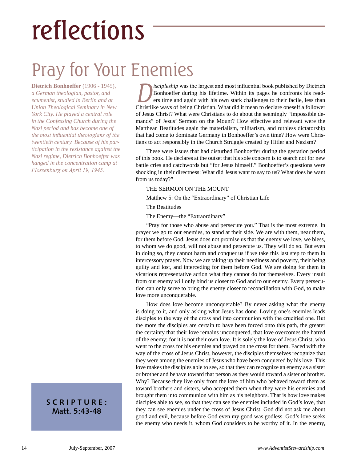# Pray for Your Enemies

**Dietrich Bonhoeffer** (1906 - 1945), *a German theologian, pastor, and ecumenist, studied in Berlin and at Union Theological Seminary in New York City. He played a central role in the Confessing Church during the Nazi period and has become one of the most influential theologians of the twentieth century. Because of his participation in the resistance against the Nazi regime, Dietrich Bonhoeffer was hanged in the concentration camp at Flossenburg on April 19, 1945.*

#### **S C R I P T U R E : Matt. 5:43-48**

*scipleship* was the largest and most influential book published by Dietrich<br>Bonhoeffer during his lifetime. Within its pages he confronts his read-<br>ers time and again with his own stark challenges to their facile. less th Bonhoeffer during his lifetime. Within its pages he confronts his readers time and again with his own stark challenges to their facile, less than Christlike ways of being Christian. What did it mean to declare oneself a follower of Jesus Christ? What were Christians to do about the seemingly "impossible demands" of Jesus' Sermon on the Mount? How effective and relevant were the Matthean Beatitudes again the materialism, militarism, and ruthless dictatorship that had come to dominate Germany in Bonhoeffer's own time? How were Christians to act responsibly in the Church Struggle created by Hitler and Nazism?

These were issues that had disturbed Bonhoeffer during the gestation period of this book. He declares at the outset that his sole concern is to search not for new battle cries and catchwords but "for Jesus himself." Bonhoeffer's questions were shocking in their directness: What did Jesus want to say to us? What does he want from us today?"

#### THE SERMON ON THE MOUNT

Matthew 5: On the "Extraordinary" of Christian Life

The Beatitudes

The Enemy—the "Extraordinary"

"Pray for those who abuse and persecute you." That is the most extreme. In prayer we go to our enemies, to stand at their side. We are with them, near them, for them before God. Jesus does not promise us that the enemy we love, we bless, to whom we do good, will not abuse and persecute us. They will do so. But even in doing so, they cannot harm and conquer us if we take this last step to them in intercessory prayer. Now we are taking up their neediness and poverty, their being guilty and lost, and interceding for them before God. We are doing for them in vicarious representative action what they cannot do for themselves. Every insult from our enemy will only bind us closer to God and to our enemy. Every persecution can only serve to bring the enemy closer to reconciliation with God, to make love more unconquerable.

How does love become unconquerable? By never asking what the enemy is doing to it, and only asking what Jesus has done. Loving one's enemies leads disciples to the way of the cross and into communion with the crucified one. But the more the disciples are certain to have been forced onto this path, the greater the certainty that their love remains unconquered, that love overcomes the hatred of the enemy; for it is not their own love. It is solely the love of Jesus Christ, who went to the cross for his enemies and prayed on the cross for them. Faced with the way of the cross of Jesus Christ, however, the disciples themselves recognize that they were among the enemies of Jesus who have been conquered by his love. This love makes the disciples able to see, so that they can recognize an enemy as a sister or brother and behave toward that person as they would toward a sister or brother. Why? Because they live only from the love of him who behaved toward them as toward brothers and sisters, who accepted them when they were his enemies and brought them into communion with him as his neighbors. That is how love makes disciples able to see, so that they can see the enemies included in God's love, that they can see enemies under the cross of Jesus Christ. God did not ask me about good and evil, because before God even my good was godless. God's love seeks the enemy who needs it, whom God considers to be worthy of it. In the enemy,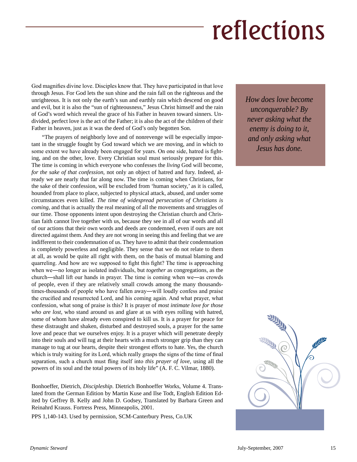God magnifies divine love. Disciples know that. They have participated in that love through Jesus. For God lets the sun shine and the rain fall on the righteous and the unrighteous. It is not only the earth's sun and earthly rain which descend on good and evil, but it is also the "sun of righteousness," Jesus Christ himself and the rain of God's word which reveal the grace of his Father in heaven toward sinners. Undivided, perfect love is the act of the Father; it is also the act of the children of their Father in heaven, just as it was the deed of God's only begotten Son.

"The prayers of neighborly love and of nonrevenge will be especially important in the struggle fought by God toward which we are moving, and in which to some extent we have already been engaged for years. On one side, hatred is fighting, and on the other, love. Every Christian soul must seriously prepare for this. The time is coming in which everyone who confesses the *living* God will become, *for the sake of that confession*, not only an object of hatred and fury. Indeed, already we are nearly that far along now. The time is coming when Christians, for the sake of their confession, will be excluded from 'human society,' as it is called, hounded from place to place, subjected to physical attack, abused, and under some circumstances even killed. *The time of widespread persecution of Christians is coming,* and that is actually the real meaning of all the movements and struggles of our time. Those opponents intent upon destroying the Christian church and Christian faith cannot live together with us, because they see in all of our words and all of our actions that their own words and deeds are condemned, even if ours are not directed against them. And they are not wrong in seeing this and feeling that we are indifferent to their condemnation of us. They have to admit that their condemnation is completely powerless and negligible. They sense that we do not relate to them at all, as would be quite all right with them, on the basis of mutual blaming and quarreling. And how are we supposed to fight this fight? The time is approaching when we—no longer as isolated individuals, but *together* as congregations, as the church―shall lift our hands in prayer. The time is coming when we―as crowds of people, even if they are relatively small crowds among the many thousandstimes-thousands of people who have fallen away―will loudly confess and praise the crucified and resurrected Lord, and his coming again. And what prayer, what confession, what song of praise is this? It is prayer of *most intimate love for those who are lost,* who stand around us and glare at us with eyes rolling with hatred, some of whom have already even conspired to kill us. It is a prayer for peace for these distraught and shaken, disturbed and destroyed souls, a prayer for the same love and peace that we ourselves enjoy. It is a prayer which will penetrate deeply into their souls and will tug at their hearts with a much stronger grip than they can manage to tug at our hearts, despite their strongest efforts to hate. Yes, the church which is truly waiting for its Lord, which really grasps the signs of the time of final separation, such a church must fling itself into *this prayer of love*, using all the powers of its soul and the total powers of its holy life" (A. F. C. Vilmar, 1880).

Bonhoeffer, Dietrich, *Discipleship*. Dietrich Bonhoeffer Works, Volume 4. Translated from the German Edition by Martin Kuse and Ilse Todt, English Edition Edited by Geffrey B. Kelly and John D. Godsey, Translated by Barbara Green and Reinahrd Krauss. Fortress Press, Minneapolis, 2001.

PPS 1,140-143. Used by permission, SCM-Canterbury Press, Co.UK

*How does love become unconquerable? By never asking what the enemy is doing to it, and only asking what Jesus has done.*